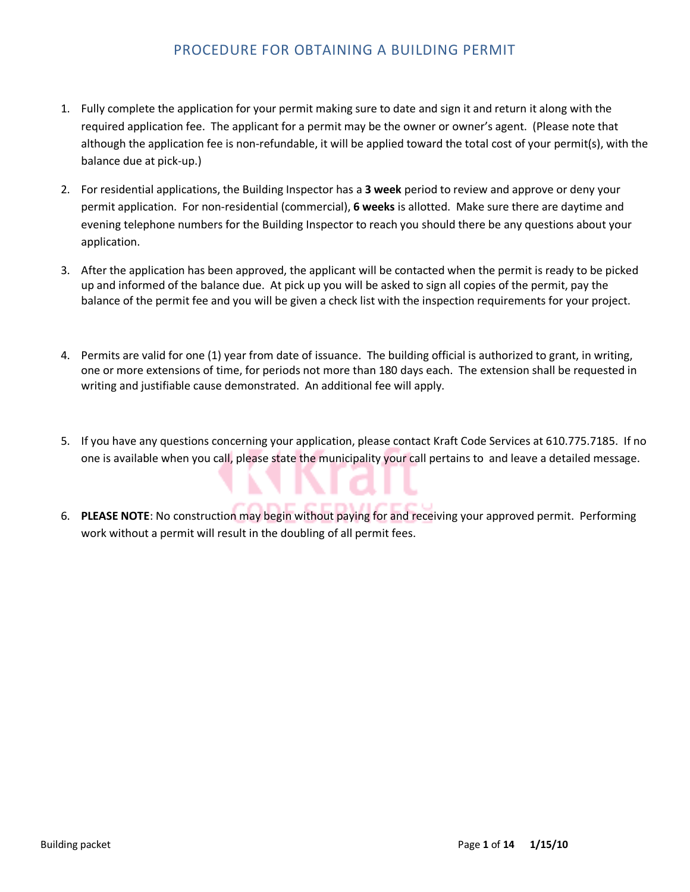### PROCEDURE FOR OBTAINING A BUILDING PERMIT

- 1. Fully complete the application for your permit making sure to date and sign it and return it along with the required application fee. The applicant for a permit may be the owner or owner's agent. (Please note that although the application fee is non-refundable, it will be applied toward the total cost of your permit(s), with the balance due at pick-up.)
- 2. For residential applications, the Building Inspector has a **3 week** period to review and approve or deny your permit application. For non-residential (commercial), **6 weeks** is allotted. Make sure there are daytime and evening telephone numbers for the Building Inspector to reach you should there be any questions about your application.
- 3. After the application has been approved, the applicant will be contacted when the permit is ready to be picked up and informed of the balance due. At pick up you will be asked to sign all copies of the permit, pay the balance of the permit fee and you will be given a check list with the inspection requirements for your project.
- 4. Permits are valid for one (1) year from date of issuance. The building official is authorized to grant, in writing, one or more extensions of time, for periods not more than 180 days each. The extension shall be requested in writing and justifiable cause demonstrated. An additional fee will apply.
- 5. If you have any questions concerning your application, please contact Kraft Code Services at 610.775.7185. If no one is available when you call, please state the municipality your call pertains to and leave a detailed message.
- 6. **PLEASE NOTE**: No construction may begin without paying for and receiving your approved permit. Performing work without a permit will result in the doubling of all permit fees.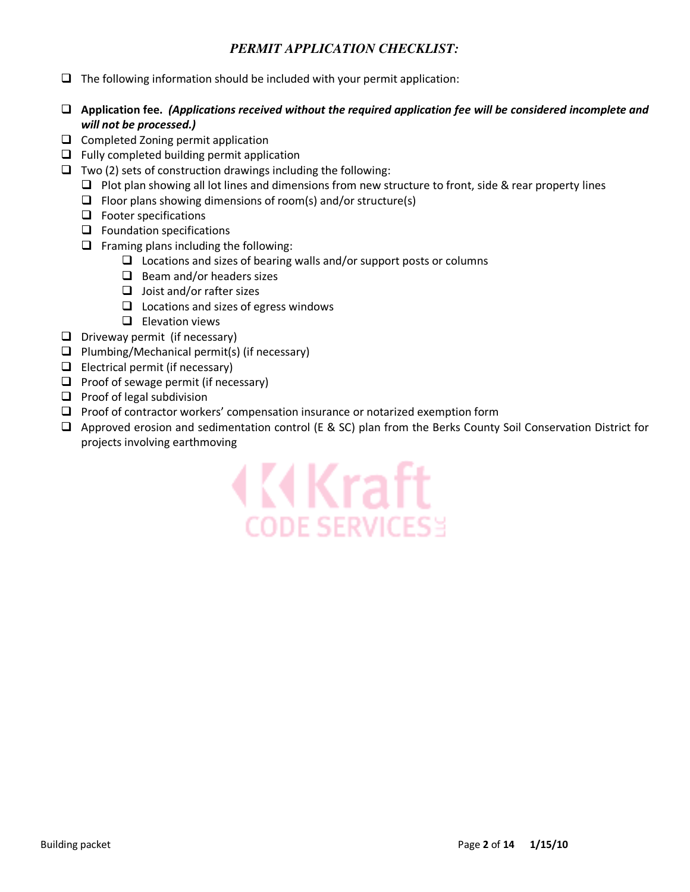#### *PERMIT APPLICATION CHECKLIST:*

- $\Box$  The following information should be included with your permit application:
- **Application fee.** *(Applications received without the required application fee will be considered incomplete and will not be processed.)*
- $\Box$  Completed Zoning permit application
- $\Box$  Fully completed building permit application
- $\Box$  Two (2) sets of construction drawings including the following:
	- $\Box$  Plot plan showing all lot lines and dimensions from new structure to front, side & rear property lines
	- $\Box$  Floor plans showing dimensions of room(s) and/or structure(s)
	- $\Box$  Footer specifications
	- $\Box$  Foundation specifications
	- $\Box$  Framing plans including the following:
		- $\Box$  Locations and sizes of bearing walls and/or support posts or columns
		- $\Box$  Beam and/or headers sizes
		- $\Box$  Joist and/or rafter sizes
		- $\Box$  Locations and sizes of egress windows
		- $\Box$  Elevation views
- $\Box$  Driveway permit (if necessary)
- $\Box$  Plumbing/Mechanical permit(s) (if necessary)
- $\Box$  Electrical permit (if necessary)
- $\Box$  Proof of sewage permit (if necessary)
- $\Box$  Proof of legal subdivision
- $\Box$  Proof of contractor workers' compensation insurance or notarized exemption form
- Approved erosion and sedimentation control (E & SC) plan from the Berks County Soil Conservation District for projects involving earthmoving

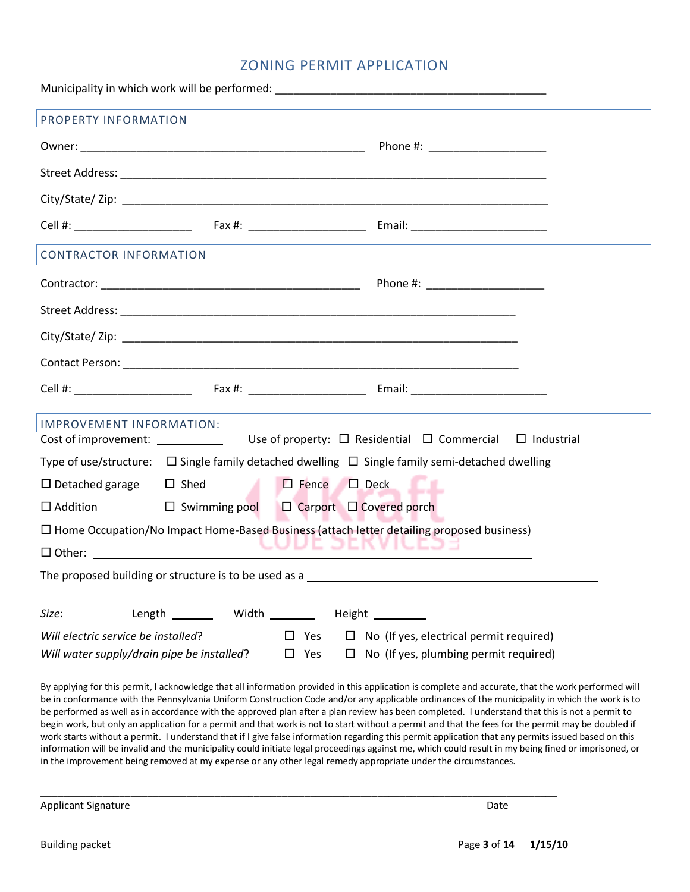#### ZONING PERMIT APPLICATION

Municipality in which work will be performed: PROPERTY INFORMATION Owner: \_\_\_\_\_\_\_\_\_\_\_\_\_\_\_\_\_\_\_\_\_\_\_\_\_\_\_\_\_\_\_\_\_\_\_\_\_\_\_\_\_\_\_\_\_\_ Phone #: \_\_\_\_\_\_\_\_\_\_\_\_\_\_\_\_\_\_\_ Street Address: **Example 2018** City/State/ Zip: \_\_\_\_\_\_\_\_\_\_\_\_\_\_\_\_\_\_\_\_\_\_\_\_\_\_\_\_\_\_\_\_\_\_\_\_\_\_\_\_\_\_\_\_\_\_\_\_\_\_\_\_\_\_\_\_\_\_\_\_\_\_\_\_\_\_\_\_\_ Cell #: \_\_\_\_\_\_\_\_\_\_\_\_\_\_\_\_\_\_\_ Fax #: \_\_\_\_\_\_\_\_\_\_\_\_\_\_\_\_\_\_\_ Email: \_\_\_\_\_\_\_\_\_\_\_\_\_\_\_\_\_\_\_\_\_\_ CONTRACTOR INFORMATION Contractor: \_\_\_\_\_\_\_\_\_\_\_\_\_\_\_\_\_\_\_\_\_\_\_\_\_\_\_\_\_\_\_\_\_\_\_\_\_\_\_\_\_\_ Phone #: \_\_\_\_\_\_\_\_\_\_\_\_\_\_\_\_\_\_\_ Street Address: \_\_\_\_\_\_\_\_\_\_\_\_\_\_\_\_\_\_\_\_\_\_\_\_\_\_\_\_\_\_\_\_\_\_\_\_\_\_\_\_\_\_\_\_\_\_\_\_\_\_\_\_\_\_\_\_\_\_\_\_\_\_\_\_ City/State/ Zip: \_\_\_\_\_\_\_\_\_\_\_\_\_\_\_\_\_\_\_\_\_\_\_\_\_\_\_\_\_\_\_\_\_\_\_\_\_\_\_\_\_\_\_\_\_\_\_\_\_\_\_\_\_\_\_\_\_\_\_\_\_\_\_\_ Contact Person: **Example 20** Cell #: \_\_\_\_\_\_\_\_\_\_\_\_\_\_\_\_\_\_\_ Fax #: \_\_\_\_\_\_\_\_\_\_\_\_\_\_\_\_\_\_\_ Email: \_\_\_\_\_\_\_\_\_\_\_\_\_\_\_\_\_\_\_\_\_\_ IMPROVEMENT INFORMATION: Cost of improvement: Residential  $\Box$  Commercial  $\Box$  Industrial Type of use/structure:  $\Box$  Single family detached dwelling  $\Box$  Single family semi-detached dwelling  $\Box$  Detached garage  $\Box$  Shed Fence  $\Box$  Deck  $\Box$  Addition  $\Box$ Swimming pool  $\Box$  Carport  $\Box$  Covered porch □ Home Occupation/No Impact Home-Based Business (attach letter detailing proposed business) - Other: \_\_\_\_\_\_\_\_\_\_\_\_\_\_\_\_\_\_\_\_\_\_\_\_\_\_\_\_\_\_\_\_\_\_\_\_\_\_\_\_\_\_\_\_\_\_\_\_\_\_ The proposed building or structure is to be used as a **Size:** Length Width Height *Will electric service be installed*? Yes No (If yes, electrical permit required) *Will water supply/drain pipe be installed*?  $\Box$  Yes  $\Box$  No (If yes, plumbing permit required)

By applying for this permit, I acknowledge that all information provided in this application is complete and accurate, that the work performed will be in conformance with the Pennsylvania Uniform Construction Code and/or any applicable ordinances of the municipality in which the work is to be performed as well as in accordance with the approved plan after a plan review has been completed. I understand that this is not a permit to begin work, but only an application for a permit and that work is not to start without a permit and that the fees for the permit may be doubled if work starts without a permit. I understand that if I give false information regarding this permit application that any permits issued based on this information will be invalid and the municipality could initiate legal proceedings against me, which could result in my being fined or imprisoned, or in the improvement being removed at my expense or any other legal remedy appropriate under the circumstances.

\_\_\_\_\_\_\_\_\_\_\_\_\_\_\_\_\_\_\_\_\_\_\_\_\_\_\_\_\_\_\_\_\_\_\_\_\_\_\_\_\_\_\_\_\_\_\_\_\_\_\_\_\_\_\_\_\_\_\_\_\_\_\_\_\_\_\_\_\_\_\_\_\_\_\_\_\_\_\_\_\_\_\_\_\_\_\_\_\_\_\_\_

Applicant Signature Date Applicant Signature Date Applicant Signature Date Applicant Signature Date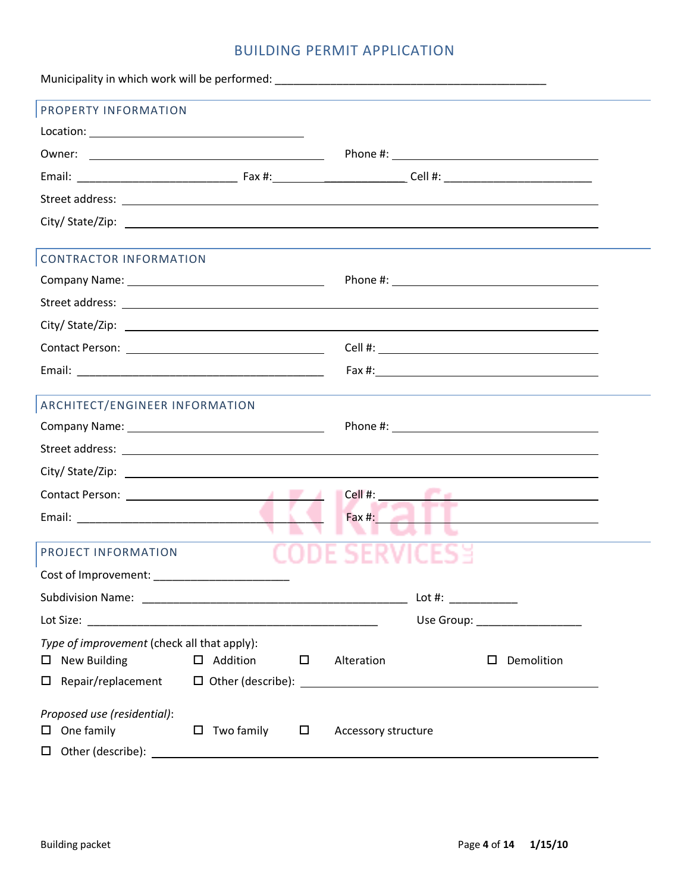## BUILDING PERMIT APPLICATION

| PROPERTY INFORMATION                                                                                                                                                                                                                                                                                                                                                                                             |                      |        |                                       |                                               |  |
|------------------------------------------------------------------------------------------------------------------------------------------------------------------------------------------------------------------------------------------------------------------------------------------------------------------------------------------------------------------------------------------------------------------|----------------------|--------|---------------------------------------|-----------------------------------------------|--|
| $\text{Location:}\begin{tabular}{ c c c c } \hline \rule{0pt}{3ex} \rule{0pt}{3ex} \rule{0pt}{3ex} \rule{0pt}{3ex} \rule{0pt}{3ex} \rule{0pt}{3ex} \rule{0pt}{3ex} \rule{0pt}{3ex} \rule{0pt}{3ex} \rule{0pt}{3ex} \rule{0pt}{3ex} \rule{0pt}{3ex} \rule{0pt}{3ex} \rule{0pt}{3ex} \rule{0pt}{3ex} \rule{0pt}{3ex} \rule{0pt}{3ex} \rule{0pt}{3ex} \rule{0pt}{3ex} \rule{0pt}{3ex} \rule{0pt}{3ex} \rule{0pt}{3$ |                      |        |                                       |                                               |  |
|                                                                                                                                                                                                                                                                                                                                                                                                                  |                      |        |                                       |                                               |  |
|                                                                                                                                                                                                                                                                                                                                                                                                                  |                      |        |                                       |                                               |  |
|                                                                                                                                                                                                                                                                                                                                                                                                                  |                      |        |                                       |                                               |  |
|                                                                                                                                                                                                                                                                                                                                                                                                                  |                      |        |                                       |                                               |  |
| <b>CONTRACTOR INFORMATION</b>                                                                                                                                                                                                                                                                                                                                                                                    |                      |        |                                       |                                               |  |
|                                                                                                                                                                                                                                                                                                                                                                                                                  |                      |        |                                       |                                               |  |
| Street address: <u>example and a series of the street and a series of the street and a series of the street and a series of the street and a series of the street and a series of the street and a series of the street and a se</u>                                                                                                                                                                             |                      |        |                                       |                                               |  |
|                                                                                                                                                                                                                                                                                                                                                                                                                  |                      |        |                                       |                                               |  |
|                                                                                                                                                                                                                                                                                                                                                                                                                  |                      |        |                                       |                                               |  |
|                                                                                                                                                                                                                                                                                                                                                                                                                  |                      |        |                                       |                                               |  |
| ARCHITECT/ENGINEER INFORMATION                                                                                                                                                                                                                                                                                                                                                                                   |                      |        |                                       |                                               |  |
|                                                                                                                                                                                                                                                                                                                                                                                                                  |                      |        |                                       |                                               |  |
|                                                                                                                                                                                                                                                                                                                                                                                                                  |                      |        |                                       |                                               |  |
|                                                                                                                                                                                                                                                                                                                                                                                                                  |                      |        |                                       |                                               |  |
|                                                                                                                                                                                                                                                                                                                                                                                                                  |                      |        | $\blacksquare$ Cell #: $\blacksquare$ | <u> 1980 - Jan Alexander III, poet et al.</u> |  |
|                                                                                                                                                                                                                                                                                                                                                                                                                  |                      |        | $Fax \#$ :                            | <u>  Eugene – American – A</u>                |  |
| <b>PROJECT INFORMATION</b>                                                                                                                                                                                                                                                                                                                                                                                       |                      |        |                                       |                                               |  |
| Cost of Improvement: _                                                                                                                                                                                                                                                                                                                                                                                           |                      |        |                                       |                                               |  |
|                                                                                                                                                                                                                                                                                                                                                                                                                  |                      |        |                                       |                                               |  |
|                                                                                                                                                                                                                                                                                                                                                                                                                  |                      |        |                                       | Use Group: __________________                 |  |
| Type of improvement (check all that apply):                                                                                                                                                                                                                                                                                                                                                                      |                      |        |                                       |                                               |  |
| New Building<br>0                                                                                                                                                                                                                                                                                                                                                                                                | $\Box$ Addition      | $\Box$ | Alteration                            | Demolition<br>□                               |  |
| Repair/replacement<br>□                                                                                                                                                                                                                                                                                                                                                                                          |                      |        |                                       |                                               |  |
| Proposed use (residential):                                                                                                                                                                                                                                                                                                                                                                                      |                      |        |                                       |                                               |  |
| One family<br>$\Box$                                                                                                                                                                                                                                                                                                                                                                                             | Two family<br>$\Box$ | $\Box$ | Accessory structure                   |                                               |  |
| $\Box$                                                                                                                                                                                                                                                                                                                                                                                                           |                      |        |                                       |                                               |  |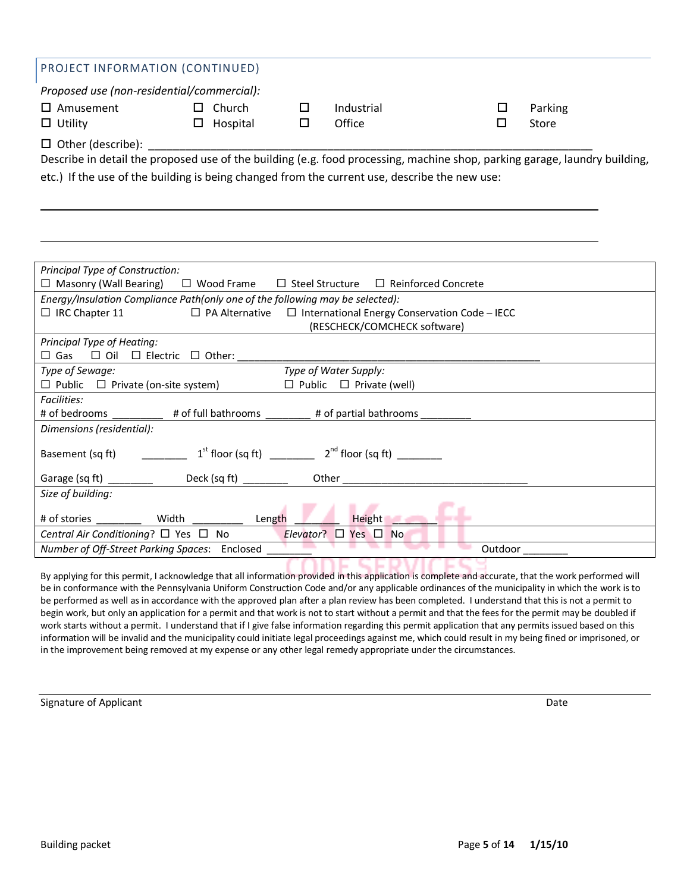| PROJECT INFORMATION (CONTINUED)                                                                                            |          |  |            |  |         |
|----------------------------------------------------------------------------------------------------------------------------|----------|--|------------|--|---------|
| Proposed use (non-residential/commercial):                                                                                 |          |  |            |  |         |
| $\Box$ Amusement                                                                                                           | Church   |  | Industrial |  | Parking |
| $\Box$ Utility                                                                                                             | Hospital |  | Office     |  | Store   |
| $\Box$ Other (describe):                                                                                                   |          |  |            |  |         |
| Describe in detail the proposed use of the building (e.g. food processing, machine shop, parking garage, laundry building, |          |  |            |  |         |
| etc.) If the use of the building is being changed from the current use, describe the new use:                              |          |  |            |  |         |

| Principal Type of Construction:                                                                     |  |  |  |  |
|-----------------------------------------------------------------------------------------------------|--|--|--|--|
| $\Box$ Masonry (Wall Bearing) $\Box$ Wood Frame $\Box$ Steel Structure $\Box$ Reinforced Concrete   |  |  |  |  |
| Energy/Insulation Compliance Path(only one of the following may be selected):                       |  |  |  |  |
| $\Box$ IRC Chapter 11<br>$\Box$ PA Alternative $\Box$ International Energy Conservation Code – IECC |  |  |  |  |
| (RESCHECK/COMCHECK software)                                                                        |  |  |  |  |
| Principal Type of Heating:                                                                          |  |  |  |  |
| $\square$ Gas $\square$ Oil $\square$ Electric $\square$ Other:                                     |  |  |  |  |
| Type of Water Supply:<br>Type of Sewage:                                                            |  |  |  |  |
| $\Box$ Public $\Box$ Private (on-site system)<br>$\Box$ Public $\Box$ Private (well)                |  |  |  |  |
| <b>Facilities:</b>                                                                                  |  |  |  |  |
| # of bedrooms<br># of full bathrooms _________ # of partial bathrooms _                             |  |  |  |  |
| Dimensions (residential):                                                                           |  |  |  |  |
|                                                                                                     |  |  |  |  |
| $1st$ floor (sq ft) $2nd$ floor (sq ft)<br>Basement (sq ft)                                         |  |  |  |  |
| Garage (sq ft) __________<br>Deck (sq ft) _________                                                 |  |  |  |  |
|                                                                                                     |  |  |  |  |
| Size of building:                                                                                   |  |  |  |  |
| Length<br><b>Height</b><br>Width<br># of stories                                                    |  |  |  |  |
| Central Air Conditioning? $\Box$ Yes $\Box$ No<br>Elevator? $\Box$ Yes $\Box$ No                    |  |  |  |  |
| Number of Off-Street Parking Spaces: Enclosed<br>Outdoor                                            |  |  |  |  |
|                                                                                                     |  |  |  |  |

By applying for this permit, I acknowledge that all information provided in this application is complete and accurate, that the work performed will be in conformance with the Pennsylvania Uniform Construction Code and/or any applicable ordinances of the municipality in which the work is to be performed as well as in accordance with the approved plan after a plan review has been completed. I understand that this is not a permit to begin work, but only an application for a permit and that work is not to start without a permit and that the fees for the permit may be doubled if work starts without a permit. I understand that if I give false information regarding this permit application that any permits issued based on this information will be invalid and the municipality could initiate legal proceedings against me, which could result in my being fined or imprisoned, or in the improvement being removed at my expense or any other legal remedy appropriate under the circumstances.

Signature of Applicant Date of Applicant Date of Applicant Date of Applicant Date of Applicant Date of Applicant Date of Applicant Date of Applicant Date of Applicant Date of Applicant Date of Applicant Date of Applicant D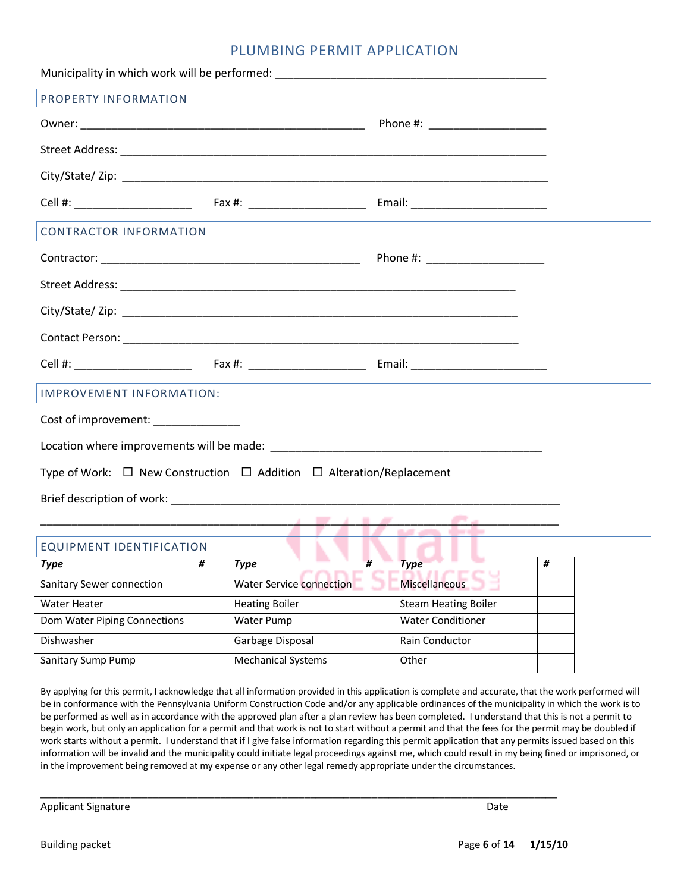#### PLUMBING PERMIT APPLICATION

| PROPERTY INFORMATION                                                                |                                 |  |  |  |  |
|-------------------------------------------------------------------------------------|---------------------------------|--|--|--|--|
|                                                                                     | Phone #: ______________________ |  |  |  |  |
|                                                                                     |                                 |  |  |  |  |
|                                                                                     |                                 |  |  |  |  |
|                                                                                     |                                 |  |  |  |  |
| <b>CONTRACTOR INFORMATION</b>                                                       |                                 |  |  |  |  |
|                                                                                     |                                 |  |  |  |  |
|                                                                                     |                                 |  |  |  |  |
|                                                                                     |                                 |  |  |  |  |
|                                                                                     |                                 |  |  |  |  |
|                                                                                     |                                 |  |  |  |  |
| <b>IMPROVEMENT INFORMATION:</b>                                                     |                                 |  |  |  |  |
| Cost of improvement: _______________                                                |                                 |  |  |  |  |
|                                                                                     |                                 |  |  |  |  |
| Type of Work: $\Box$ New Construction $\Box$ Addition $\Box$ Alteration/Replacement |                                 |  |  |  |  |
|                                                                                     |                                 |  |  |  |  |
| $\frac{1}{1}$                                                                       |                                 |  |  |  |  |
| EQUIPMENT IDENTIFICATION                                                            |                                 |  |  |  |  |

| ________________________________ |   |                                 |   |                             |   |  |  |
|----------------------------------|---|---------------------------------|---|-----------------------------|---|--|--|
| Type                             | # | Type                            | # | <b>Type</b>                 | # |  |  |
| Sanitary Sewer connection        |   | <b>Water Service connection</b> |   | <b>Miscellaneous</b>        |   |  |  |
| Water Heater                     |   | <b>Heating Boiler</b>           |   | <b>Steam Heating Boiler</b> |   |  |  |
| Dom Water Piping Connections     |   | Water Pump                      |   | <b>Water Conditioner</b>    |   |  |  |
| Dishwasher                       |   | Garbage Disposal                |   | <b>Rain Conductor</b>       |   |  |  |
| Sanitary Sump Pump               |   | <b>Mechanical Systems</b>       |   | Other                       |   |  |  |

\_\_\_\_\_\_\_\_\_\_\_\_\_\_\_\_\_\_\_\_\_\_\_\_\_\_\_\_\_\_\_\_\_\_\_\_\_\_\_\_\_\_\_\_\_\_\_\_\_\_\_\_\_\_\_\_\_\_\_\_\_\_\_\_\_\_\_\_\_\_\_\_\_\_\_\_\_\_\_\_\_\_\_\_\_\_\_\_\_\_\_\_

By applying for this permit, I acknowledge that all information provided in this application is complete and accurate, that the work performed will be in conformance with the Pennsylvania Uniform Construction Code and/or any applicable ordinances of the municipality in which the work is to be performed as well as in accordance with the approved plan after a plan review has been completed. I understand that this is not a permit to begin work, but only an application for a permit and that work is not to start without a permit and that the fees for the permit may be doubled if work starts without a permit. I understand that if I give false information regarding this permit application that any permits issued based on this information will be invalid and the municipality could initiate legal proceedings against me, which could result in my being fined or imprisoned, or in the improvement being removed at my expense or any other legal remedy appropriate under the circumstances.

Applicant Signature Date Date of the Date of the United States of the Date of the Date of the Date of the Date of the Date of the Date of the Date of the Date of the Date of the Date of the Date of the Date of the Date of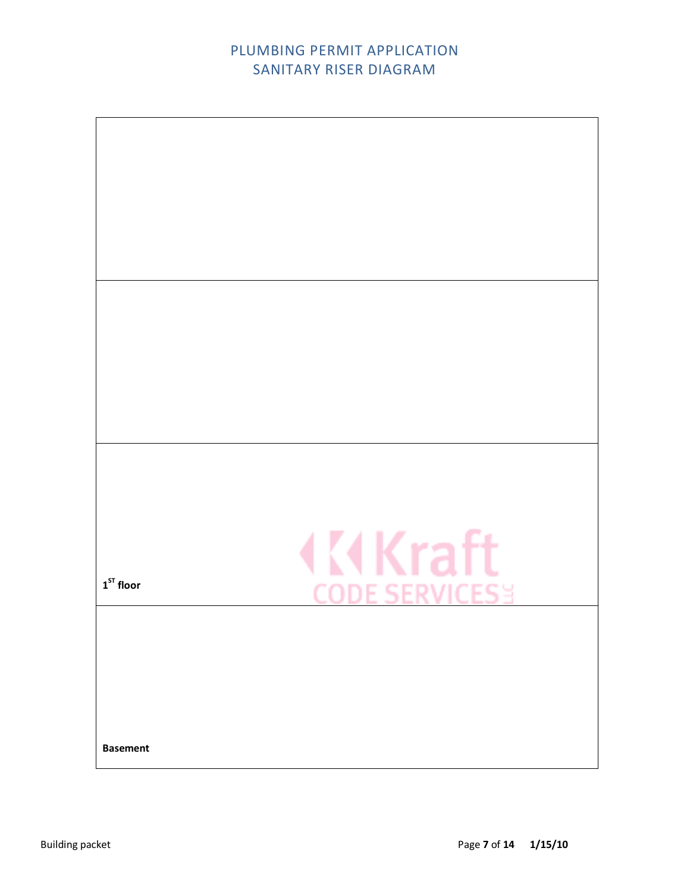## PLUMBING PERMIT APPLICATION SANITARY RISER DIAGRAM

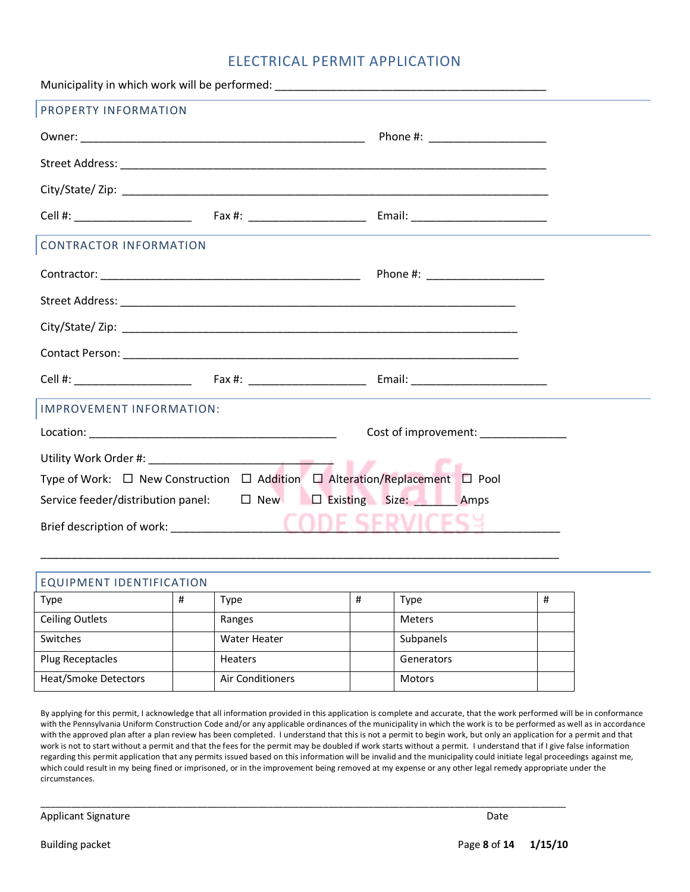#### ELECTRICAL PERMIT APPLICATION

| PROPERTY INFORMATION                                                                            |                                     |  |  |  |  |
|-------------------------------------------------------------------------------------------------|-------------------------------------|--|--|--|--|
|                                                                                                 |                                     |  |  |  |  |
|                                                                                                 |                                     |  |  |  |  |
|                                                                                                 |                                     |  |  |  |  |
|                                                                                                 |                                     |  |  |  |  |
| <b>CONTRACTOR INFORMATION</b>                                                                   |                                     |  |  |  |  |
|                                                                                                 | Phone #: _____________________      |  |  |  |  |
|                                                                                                 |                                     |  |  |  |  |
|                                                                                                 |                                     |  |  |  |  |
|                                                                                                 |                                     |  |  |  |  |
|                                                                                                 |                                     |  |  |  |  |
| IMPROVEMENT INFORMATION:                                                                        |                                     |  |  |  |  |
|                                                                                                 | Cost of improvement: ______________ |  |  |  |  |
|                                                                                                 |                                     |  |  |  |  |
| Type of Work: $\Box$ New Construction $\Box$ Addition $\Box$ Alteration/Replacement $\Box$ Pool |                                     |  |  |  |  |
| Service feeder/distribution panel: $\Box$ New $\Box$ Existing Size: Amps                        |                                     |  |  |  |  |
|                                                                                                 | CODE SERVICESS.                     |  |  |  |  |

## EQUIPMENT IDENTIFICATION Type | # | Type | # | Type | # Ceiling Outlets **Ranges** Ranges **Meters** Ranges **Ranges** Neters Switches | | | Water Heater | | Subpanels Plug Receptacles Figure Heaters Figure 2 and Senerators Heat/Smoke Detectors | | | Air Conditioners | | | Motors

\_\_\_\_\_\_\_\_\_\_\_\_\_\_\_\_\_\_\_\_\_\_\_\_\_\_\_\_\_\_\_\_\_\_\_\_\_\_\_\_\_\_\_\_\_\_\_\_\_\_\_\_\_\_\_\_\_\_\_\_\_\_\_\_\_\_\_\_\_\_\_\_\_\_\_\_\_\_\_\_\_\_\_\_\_\_\_\_\_\_\_\_\_\_\_\_\_\_\_\_\_\_\_\_

\_\_\_\_\_\_\_\_\_\_\_\_\_\_\_\_\_\_\_\_\_\_\_\_\_\_\_\_\_\_\_\_\_\_\_\_\_\_\_\_\_\_\_\_\_\_\_\_\_\_\_\_\_\_\_\_\_\_\_\_\_\_\_\_\_\_\_\_\_\_\_\_\_\_\_\_\_\_\_\_\_\_\_\_

By applying for this permit, I acknowledge that all information provided in this application is complete and accurate, that the work performed will be in conformance with the Pennsylvania Uniform Construction Code and/or any applicable ordinances of the municipality in which the work is to be performed as well as in accordance with the approved plan after a plan review has been completed. I understand that this is not a permit to begin work, but only an application for a permit and that work is not to start without a permit and that the fees for the permit may be doubled if work starts without a permit. I understand that if I give false information regarding this permit application that any permits issued based on this information will be invalid and the municipality could initiate legal proceedings against me, which could result in my being fined or imprisoned, or in the improvement being removed at my expense or any other legal remedy appropriate under the circumstances.

Applicant Signature Date of the Date of the Date of the Date of the Date of the Date of the Date of the Date of the Date of the Date of the Date of the Date of the Date of the Date of the Date of the Date of the Date of th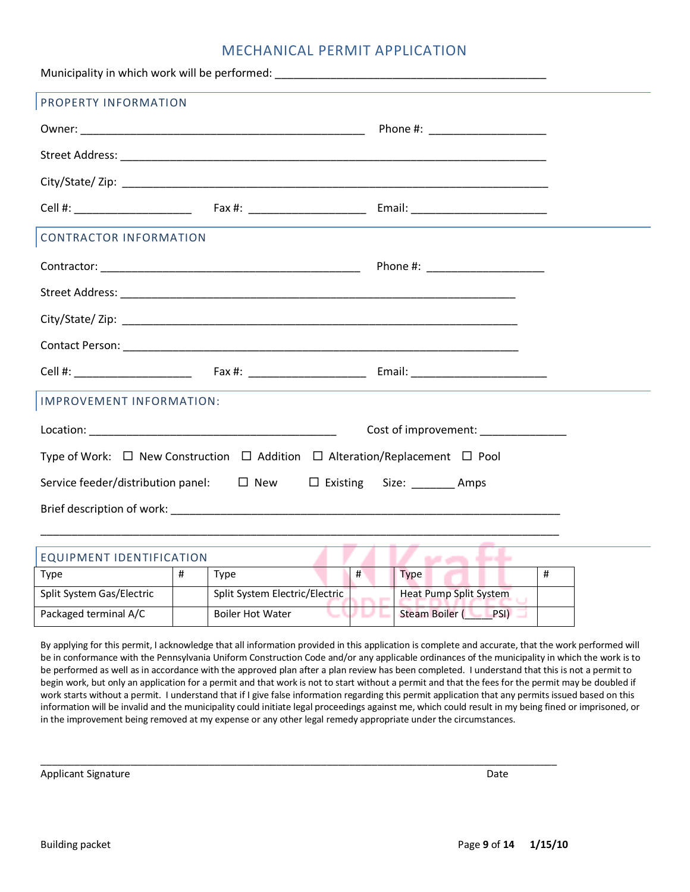#### MECHANICAL PERMIT APPLICATION

| PROPERTY INFORMATION                                                                            |   |                                |            |                                  |   |  |
|-------------------------------------------------------------------------------------------------|---|--------------------------------|------------|----------------------------------|---|--|
|                                                                                                 |   |                                |            |                                  |   |  |
|                                                                                                 |   |                                |            |                                  |   |  |
|                                                                                                 |   |                                |            |                                  |   |  |
|                                                                                                 |   |                                |            |                                  |   |  |
| <b>CONTRACTOR INFORMATION</b>                                                                   |   |                                |            |                                  |   |  |
|                                                                                                 |   |                                |            | Phone #: _______________________ |   |  |
|                                                                                                 |   |                                |            |                                  |   |  |
|                                                                                                 |   |                                |            |                                  |   |  |
|                                                                                                 |   |                                |            |                                  |   |  |
|                                                                                                 |   |                                |            |                                  |   |  |
| IMPROVEMENT INFORMATION:                                                                        |   |                                |            |                                  |   |  |
| Cost of improvement:                                                                            |   |                                |            |                                  |   |  |
| Type of Work: $\Box$ New Construction $\Box$ Addition $\Box$ Alteration/Replacement $\Box$ Pool |   |                                |            |                                  |   |  |
| Service feeder/distribution panel: □ New □ Existing Size: _______ Amps                          |   |                                |            |                                  |   |  |
|                                                                                                 |   |                                |            |                                  |   |  |
|                                                                                                 |   |                                |            |                                  |   |  |
| EQUIPMENT IDENTIFICATION                                                                        |   |                                |            | <b>Barbara Barbara</b>           |   |  |
| <b>Type</b>                                                                                     | # | Type                           | #          | <b>Type</b>                      | # |  |
| Split System Gas/Electric                                                                       |   | Split System Electric/Electric |            | Heat Pump Split System           |   |  |
| Packaged terminal A/C                                                                           |   | <b>Boiler Hot Water</b>        | <b>COD</b> | Steam Boiler (PSI)               |   |  |

By applying for this permit, I acknowledge that all information provided in this application is complete and accurate, that the work performed will be in conformance with the Pennsylvania Uniform Construction Code and/or any applicable ordinances of the municipality in which the work is to be performed as well as in accordance with the approved plan after a plan review has been completed. I understand that this is not a permit to begin work, but only an application for a permit and that work is not to start without a permit and that the fees for the permit may be doubled if work starts without a permit. I understand that if I give false information regarding this permit application that any permits issued based on this information will be invalid and the municipality could initiate legal proceedings against me, which could result in my being fined or imprisoned, or in the improvement being removed at my expense or any other legal remedy appropriate under the circumstances.

 $\_$  ,  $\_$  ,  $\_$  ,  $\_$  ,  $\_$  ,  $\_$  ,  $\_$  ,  $\_$  ,  $\_$  ,  $\_$  ,  $\_$  ,  $\_$  ,  $\_$  ,  $\_$  ,  $\_$  ,  $\_$  ,  $\_$  ,  $\_$  ,  $\_$  ,  $\_$  ,  $\_$  ,  $\_$  ,  $\_$  ,  $\_$  ,  $\_$  ,  $\_$  ,  $\_$  ,  $\_$  ,  $\_$  ,  $\_$  ,  $\_$  ,  $\_$  ,  $\_$  ,  $\_$  ,  $\_$  ,  $\_$  ,  $\_$  ,

Applicant Signature Date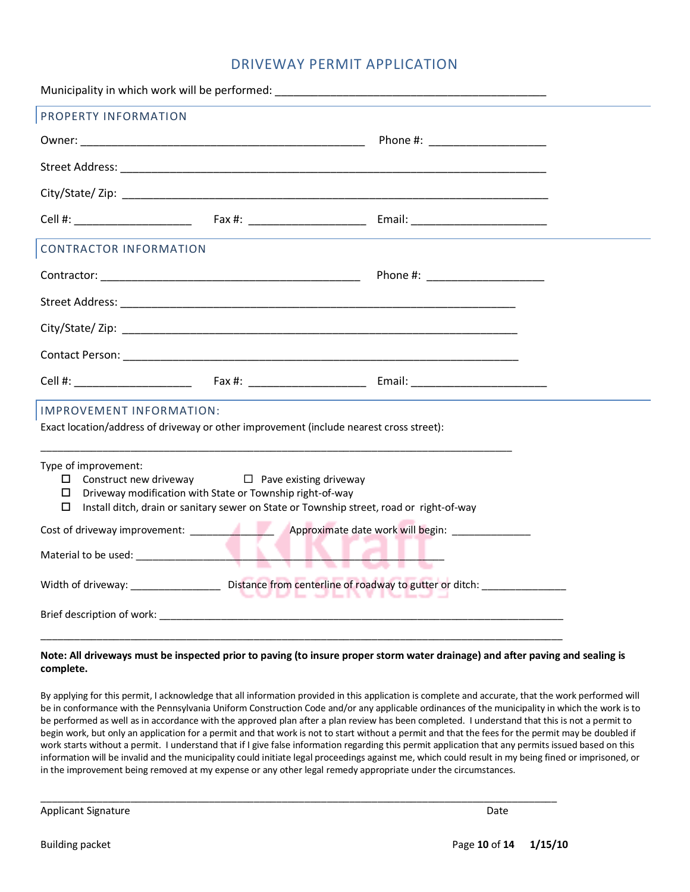#### DRIVEWAY PERMIT APPLICATION

| PROPERTY INFORMATION                                                                                                                                                                                                                              |  |  |  |  |  |
|---------------------------------------------------------------------------------------------------------------------------------------------------------------------------------------------------------------------------------------------------|--|--|--|--|--|
|                                                                                                                                                                                                                                                   |  |  |  |  |  |
|                                                                                                                                                                                                                                                   |  |  |  |  |  |
|                                                                                                                                                                                                                                                   |  |  |  |  |  |
|                                                                                                                                                                                                                                                   |  |  |  |  |  |
| <b>CONTRACTOR INFORMATION</b>                                                                                                                                                                                                                     |  |  |  |  |  |
|                                                                                                                                                                                                                                                   |  |  |  |  |  |
|                                                                                                                                                                                                                                                   |  |  |  |  |  |
|                                                                                                                                                                                                                                                   |  |  |  |  |  |
|                                                                                                                                                                                                                                                   |  |  |  |  |  |
|                                                                                                                                                                                                                                                   |  |  |  |  |  |
| <b>IMPROVEMENT INFORMATION:</b><br>Exact location/address of driveway or other improvement (include nearest cross street):                                                                                                                        |  |  |  |  |  |
| Type of improvement:<br>$\Box$ Construct new driveway $\Box$ Pave existing driveway<br>Driveway modification with State or Township right-of-way<br>0<br>Install ditch, drain or sanitary sewer on State or Township street, road or right-of-way |  |  |  |  |  |
|                                                                                                                                                                                                                                                   |  |  |  |  |  |
|                                                                                                                                                                                                                                                   |  |  |  |  |  |
| Width of driveway: _______________________Distance from centerline of roadway to gutter or ditch: __________________<br>JUDE JENYT                                                                                                                |  |  |  |  |  |
|                                                                                                                                                                                                                                                   |  |  |  |  |  |
|                                                                                                                                                                                                                                                   |  |  |  |  |  |

#### **Note: All driveways must be inspected prior to paving (to insure proper storm water drainage) and after paving and sealing is complete.**

By applying for this permit, I acknowledge that all information provided in this application is complete and accurate, that the work performed will be in conformance with the Pennsylvania Uniform Construction Code and/or any applicable ordinances of the municipality in which the work is to be performed as well as in accordance with the approved plan after a plan review has been completed. I understand that this is not a permit to begin work, but only an application for a permit and that work is not to start without a permit and that the fees for the permit may be doubled if work starts without a permit. I understand that if I give false information regarding this permit application that any permits issued based on this information will be invalid and the municipality could initiate legal proceedings against me, which could result in my being fined or imprisoned, or in the improvement being removed at my expense or any other legal remedy appropriate under the circumstances.

\_\_\_\_\_\_\_\_\_\_\_\_\_\_\_\_\_\_\_\_\_\_\_\_\_\_\_\_\_\_\_\_\_\_\_\_\_\_\_\_\_\_\_\_\_\_\_\_\_\_\_\_\_\_\_\_\_\_\_\_\_\_\_\_\_\_\_\_\_\_\_\_\_\_\_\_\_\_\_\_\_\_\_\_\_\_\_\_\_\_\_\_

Applicant Signature Date of the Date of the Date of the Date of the Date of the Date of the Date of the Date of the Date of the Date of the Date of the Date of the Date of the Date of the Date of the Date of the Date of th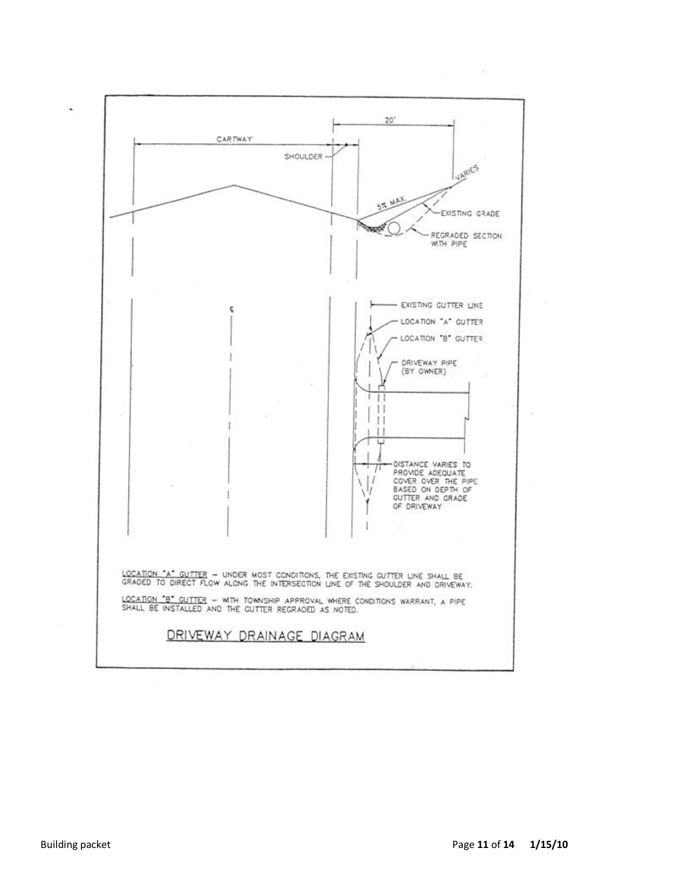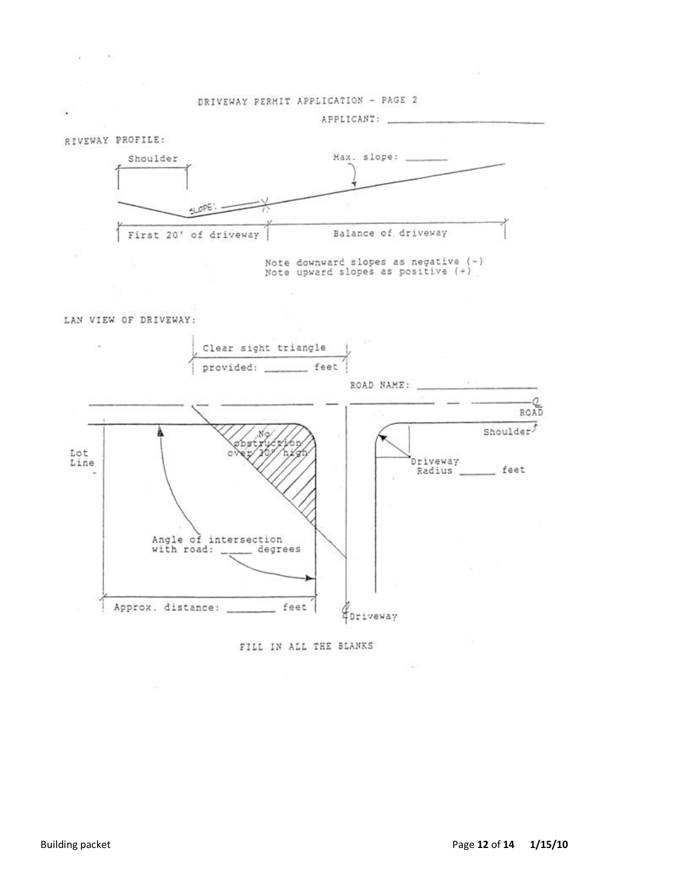

LAN VIEW OF DRIVEWAY:



FILL IN ALL THE BLANKS

×.

×

 $\mathcal{L}_{\mathcal{A}}$ 

 $-900$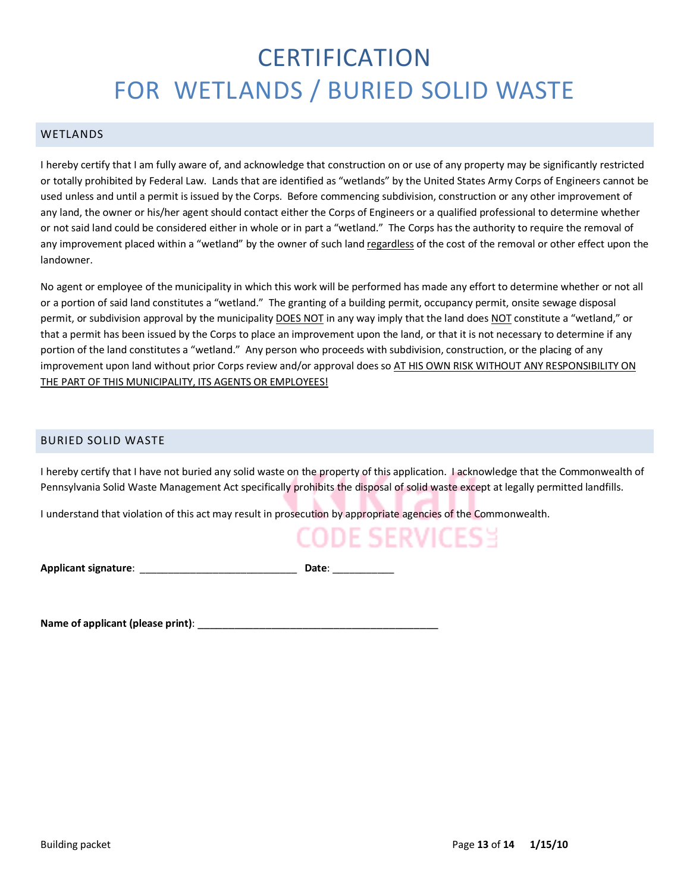# **CERTIFICATION** FOR WETLANDS / BURIED SOLID WASTE

#### WETLANDS

I hereby certify that I am fully aware of, and acknowledge that construction on or use of any property may be significantly restricted or totally prohibited by Federal Law. Lands that are identified as "wetlands" by the United States Army Corps of Engineers cannot be used unless and until a permit is issued by the Corps. Before commencing subdivision, construction or any other improvement of any land, the owner or his/her agent should contact either the Corps of Engineers or a qualified professional to determine whether or not said land could be considered either in whole or in part a "wetland." The Corps has the authority to require the removal of any improvement placed within a "wetland" by the owner of such land regardless of the cost of the removal or other effect upon the landowner.

No agent or employee of the municipality in which this work will be performed has made any effort to determine whether or not all or a portion of said land constitutes a "wetland." The granting of a building permit, occupancy permit, onsite sewage disposal permit, or subdivision approval by the municipality DOES NOT in any way imply that the land does NOT constitute a "wetland," or that a permit has been issued by the Corps to place an improvement upon the land, or that it is not necessary to determine if any portion of the land constitutes a "wetland." Any person who proceeds with subdivision, construction, or the placing of any improvement upon land without prior Corps review and/or approval does so AT HIS OWN RISK WITHOUT ANY RESPONSIBILITY ON THE PART OF THIS MUNICIPALITY, ITS AGENTS OR EMPLOYEES!

#### BURIED SOLID WASTE

I hereby certify that I have not buried any solid waste on the property of this application. I acknowledge that the Commonwealth of Pennsylvania Solid Waste Management Act specifically prohibits the disposal of solid waste except at legally permitted landfills.

I understand that violation of this act may result in prosecution by appropriate agencies of the Commonwealth.

## CODE SERVICES 3

**Applicant signature**: \_\_\_\_\_\_\_\_\_\_\_\_\_\_\_\_\_\_\_\_\_\_\_\_\_\_\_\_ **Date**: \_\_\_\_\_\_\_\_\_\_\_

**Name of applicant (please print)**: \_\_\_\_\_\_\_\_\_\_\_\_\_\_\_\_\_\_\_\_\_\_\_\_\_\_\_\_\_\_\_\_\_\_\_\_\_\_\_